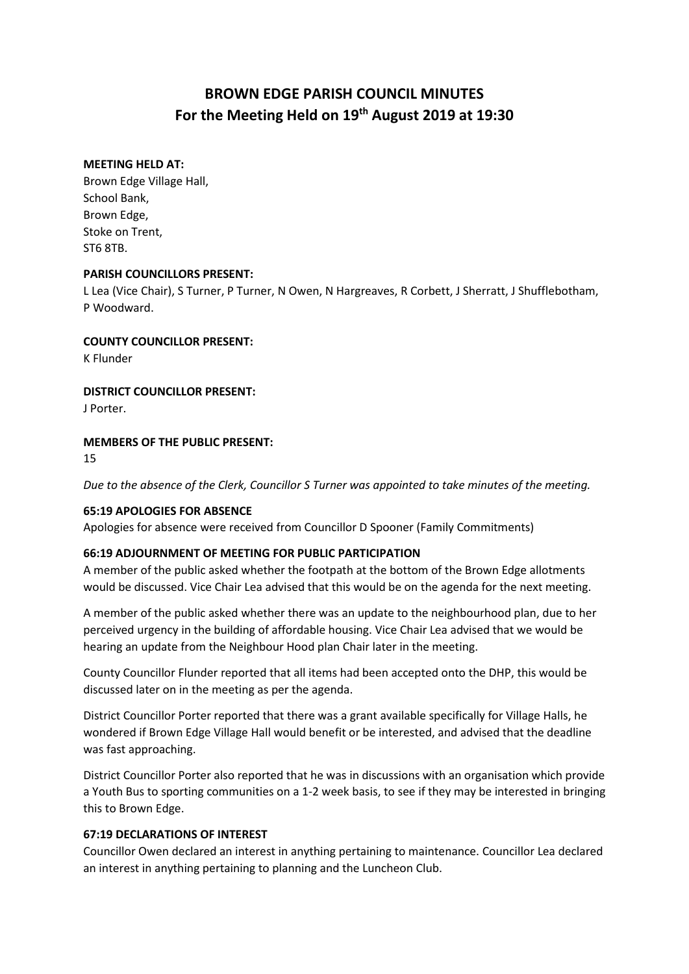# **BROWN EDGE PARISH COUNCIL MINUTES For the Meeting Held on 19th August 2019 at 19:30**

### **MEETING HELD AT:**

Brown Edge Village Hall, School Bank, Brown Edge, Stoke on Trent, ST6 8TB.

### **PARISH COUNCILLORS PRESENT:**

L Lea (Vice Chair), S Turner, P Turner, N Owen, N Hargreaves, R Corbett, J Sherratt, J Shufflebotham, P Woodward.

### **COUNTY COUNCILLOR PRESENT:**

K Flunder

**DISTRICT COUNCILLOR PRESENT:**

J Porter.

### **MEMBERS OF THE PUBLIC PRESENT:**

15

*Due to the absence of the Clerk, Councillor S Turner was appointed to take minutes of the meeting.*

### **65:19 APOLOGIES FOR ABSENCE**

Apologies for absence were received from Councillor D Spooner (Family Commitments)

### **66:19 ADJOURNMENT OF MEETING FOR PUBLIC PARTICIPATION**

A member of the public asked whether the footpath at the bottom of the Brown Edge allotments would be discussed. Vice Chair Lea advised that this would be on the agenda for the next meeting.

A member of the public asked whether there was an update to the neighbourhood plan, due to her perceived urgency in the building of affordable housing. Vice Chair Lea advised that we would be hearing an update from the Neighbour Hood plan Chair later in the meeting.

County Councillor Flunder reported that all items had been accepted onto the DHP, this would be discussed later on in the meeting as per the agenda.

District Councillor Porter reported that there was a grant available specifically for Village Halls, he wondered if Brown Edge Village Hall would benefit or be interested, and advised that the deadline was fast approaching.

District Councillor Porter also reported that he was in discussions with an organisation which provide a Youth Bus to sporting communities on a 1-2 week basis, to see if they may be interested in bringing this to Brown Edge.

### **67:19 DECLARATIONS OF INTEREST**

Councillor Owen declared an interest in anything pertaining to maintenance. Councillor Lea declared an interest in anything pertaining to planning and the Luncheon Club.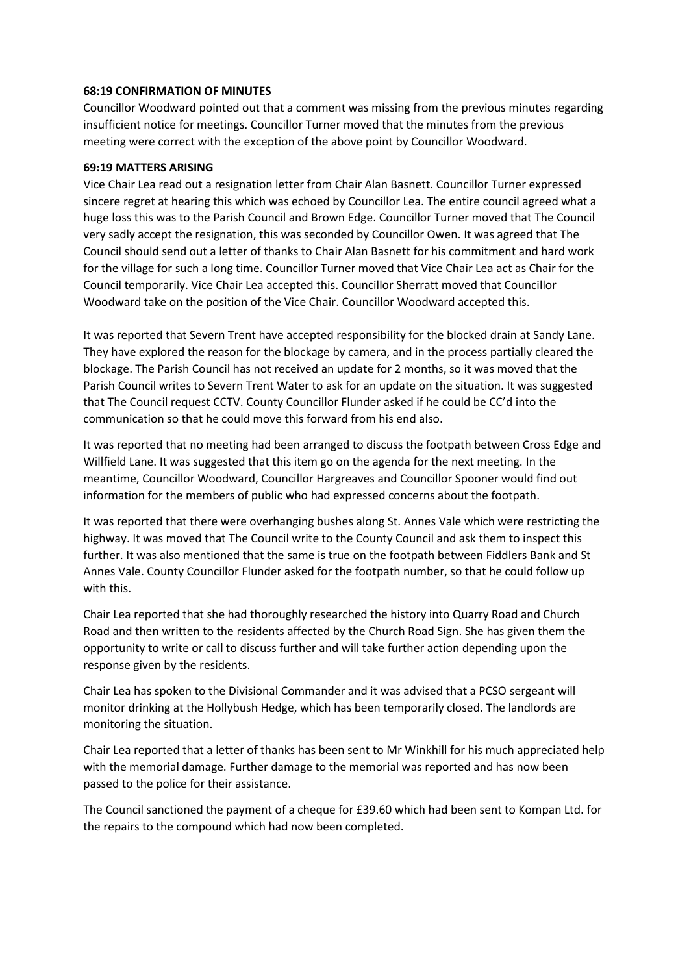### **68:19 CONFIRMATION OF MINUTES**

Councillor Woodward pointed out that a comment was missing from the previous minutes regarding insufficient notice for meetings. Councillor Turner moved that the minutes from the previous meeting were correct with the exception of the above point by Councillor Woodward.

#### **69:19 MATTERS ARISING**

Vice Chair Lea read out a resignation letter from Chair Alan Basnett. Councillor Turner expressed sincere regret at hearing this which was echoed by Councillor Lea. The entire council agreed what a huge loss this was to the Parish Council and Brown Edge. Councillor Turner moved that The Council very sadly accept the resignation, this was seconded by Councillor Owen. It was agreed that The Council should send out a letter of thanks to Chair Alan Basnett for his commitment and hard work for the village for such a long time. Councillor Turner moved that Vice Chair Lea act as Chair for the Council temporarily. Vice Chair Lea accepted this. Councillor Sherratt moved that Councillor Woodward take on the position of the Vice Chair. Councillor Woodward accepted this.

It was reported that Severn Trent have accepted responsibility for the blocked drain at Sandy Lane. They have explored the reason for the blockage by camera, and in the process partially cleared the blockage. The Parish Council has not received an update for 2 months, so it was moved that the Parish Council writes to Severn Trent Water to ask for an update on the situation. It was suggested that The Council request CCTV. County Councillor Flunder asked if he could be CC'd into the communication so that he could move this forward from his end also.

It was reported that no meeting had been arranged to discuss the footpath between Cross Edge and Willfield Lane. It was suggested that this item go on the agenda for the next meeting. In the meantime, Councillor Woodward, Councillor Hargreaves and Councillor Spooner would find out information for the members of public who had expressed concerns about the footpath.

It was reported that there were overhanging bushes along St. Annes Vale which were restricting the highway. It was moved that The Council write to the County Council and ask them to inspect this further. It was also mentioned that the same is true on the footpath between Fiddlers Bank and St Annes Vale. County Councillor Flunder asked for the footpath number, so that he could follow up with this.

Chair Lea reported that she had thoroughly researched the history into Quarry Road and Church Road and then written to the residents affected by the Church Road Sign. She has given them the opportunity to write or call to discuss further and will take further action depending upon the response given by the residents.

Chair Lea has spoken to the Divisional Commander and it was advised that a PCSO sergeant will monitor drinking at the Hollybush Hedge, which has been temporarily closed. The landlords are monitoring the situation.

Chair Lea reported that a letter of thanks has been sent to Mr Winkhill for his much appreciated help with the memorial damage. Further damage to the memorial was reported and has now been passed to the police for their assistance.

The Council sanctioned the payment of a cheque for £39.60 which had been sent to Kompan Ltd. for the repairs to the compound which had now been completed.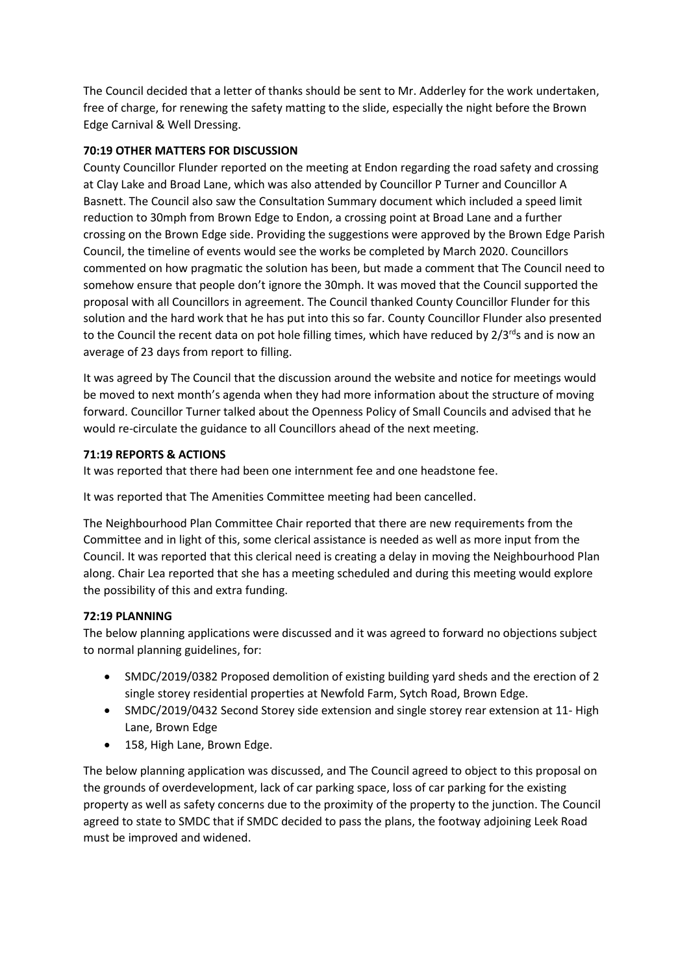The Council decided that a letter of thanks should be sent to Mr. Adderley for the work undertaken, free of charge, for renewing the safety matting to the slide, especially the night before the Brown Edge Carnival & Well Dressing.

# **70:19 OTHER MATTERS FOR DISCUSSION**

County Councillor Flunder reported on the meeting at Endon regarding the road safety and crossing at Clay Lake and Broad Lane, which was also attended by Councillor P Turner and Councillor A Basnett. The Council also saw the Consultation Summary document which included a speed limit reduction to 30mph from Brown Edge to Endon, a crossing point at Broad Lane and a further crossing on the Brown Edge side. Providing the suggestions were approved by the Brown Edge Parish Council, the timeline of events would see the works be completed by March 2020. Councillors commented on how pragmatic the solution has been, but made a comment that The Council need to somehow ensure that people don't ignore the 30mph. It was moved that the Council supported the proposal with all Councillors in agreement. The Council thanked County Councillor Flunder for this solution and the hard work that he has put into this so far. County Councillor Flunder also presented to the Council the recent data on pot hole filling times, which have reduced by  $2/3^{rd}$ s and is now an average of 23 days from report to filling.

It was agreed by The Council that the discussion around the website and notice for meetings would be moved to next month's agenda when they had more information about the structure of moving forward. Councillor Turner talked about the Openness Policy of Small Councils and advised that he would re-circulate the guidance to all Councillors ahead of the next meeting.

# **71:19 REPORTS & ACTIONS**

It was reported that there had been one internment fee and one headstone fee.

It was reported that The Amenities Committee meeting had been cancelled.

The Neighbourhood Plan Committee Chair reported that there are new requirements from the Committee and in light of this, some clerical assistance is needed as well as more input from the Council. It was reported that this clerical need is creating a delay in moving the Neighbourhood Plan along. Chair Lea reported that she has a meeting scheduled and during this meeting would explore the possibility of this and extra funding.

# **72:19 PLANNING**

The below planning applications were discussed and it was agreed to forward no objections subject to normal planning guidelines, for:

- SMDC/2019/0382 Proposed demolition of existing building yard sheds and the erection of 2 single storey residential properties at Newfold Farm, Sytch Road, Brown Edge.
- SMDC/2019/0432 Second Storey side extension and single storey rear extension at 11- High Lane, Brown Edge
- 158, High Lane, Brown Edge.

The below planning application was discussed, and The Council agreed to object to this proposal on the grounds of overdevelopment, lack of car parking space, loss of car parking for the existing property as well as safety concerns due to the proximity of the property to the junction. The Council agreed to state to SMDC that if SMDC decided to pass the plans, the footway adjoining Leek Road must be improved and widened.